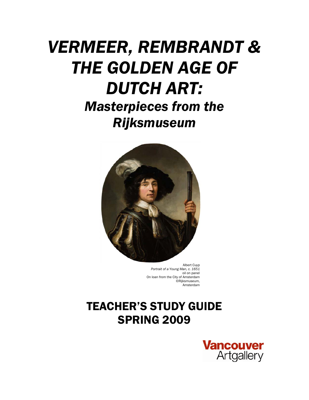# *VERMEER, REMBRANDT & THE GOLDEN AGE OF DUTCH ART: Masterpieces from the*

*Rijksmuseum* 



 Albert Cuyp *Portrait of a Young Man, c. 1651* oil on panel On loan from the City of Amsterdam ©Rijksmuseum, Amsterdam

# TEACHER'S STUDY GUIDE SPRING 2009

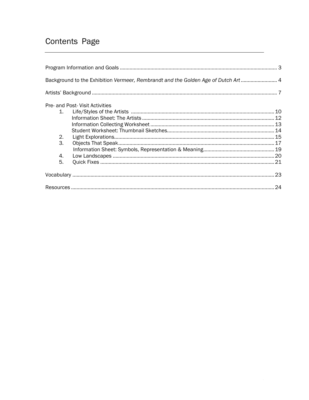# Contents Page

|    | Background to the Exhibition Vermeer, Rembrandt and the Golden Age of Dutch Art 4 |  |
|----|-----------------------------------------------------------------------------------|--|
|    |                                                                                   |  |
|    | Pre- and Post- Visit Activities                                                   |  |
|    |                                                                                   |  |
|    |                                                                                   |  |
|    |                                                                                   |  |
|    |                                                                                   |  |
| 2. |                                                                                   |  |
| З. |                                                                                   |  |
|    |                                                                                   |  |
| 4. |                                                                                   |  |
| 5. |                                                                                   |  |
|    |                                                                                   |  |
|    |                                                                                   |  |
|    |                                                                                   |  |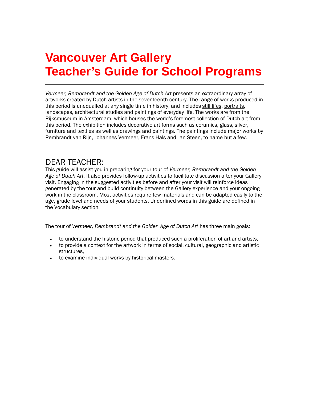# **Vancouver Art Gallery Teacher's Guide for School Programs**

*Vermeer, Rembrandt and the Golden Age of Dutch Art* presents an extraordinary array of artworks created by Dutch artists in the seventeenth century. The range of works produced in this period is unequalled at any single time in history, and includes still lifes, portraits, landscapes, architectural studies and paintings of everyday life. The works are from the Rijksmuseum in Amsterdam, which houses the world's foremost collection of Dutch art from this period. The exhibition includes decorative art forms such as ceramics, glass, silver, furniture and textiles as well as drawings and paintings. The paintings include major works by Rembrandt van Rijn, Johannes Vermeer, Frans Hals and Jan Steen, to name but a few.

### DEAR TEACHER:

This guide will assist you in preparing for your tour of *Vermeer, Rembrandt and the Golden Age of Dutch Art.* It also provides follow-up activities to facilitate discussion after your Gallery visit. Engaging in the suggested activities before and after your visit will reinforce ideas generated by the tour and build continuity between the Gallery experience and your ongoing work in the classroom. Most activities require few materials and can be adapted easily to the age, grade level and needs of your students. Underlined words in this guide are defined in the Vocabulary section.

The tour of *Vermeer, Rembrandt and the Golden Age of Dutch Art* has three main goals:

- to understand the historic period that produced such a proliferation of art and artists,
- to provide a context for the artwork in terms of social, cultural, geographic and artistic structures,
- to examine individual works by historical masters.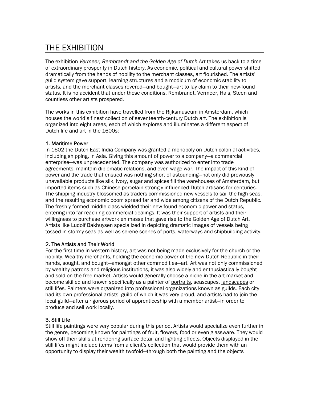# THE EXHIBITION

The exhibition *Vermeer, Rembrandt and the Golden Age of Dutch Art* takes us back to a time of extraordinary prosperity in Dutch history. As economic, political and cultural power shifted dramatically from the hands of nobility to the merchant classes, art flourished. The artists' guild system gave support, learning structures and a modicum of economic stability to artists, and the merchant classes revered—and bought—art to lay claim to their new-found status. It is no accident that under these conditions, Rembrandt, Vermeer, Hals, Steen and countless other artists prospered.

The works in this exhibition have travelled from the Rijksmuseum in Amsterdam, which houses the world's finest collection of seventeenth-century Dutch art. The exhibition is organized into eight areas, each of which explores and illuminates a different aspect of Dutch life and art in the 1600s:

#### 1. Maritime Power

In 1602 the Dutch East India Company was granted a monopoly on Dutch colonial activities, including shipping, in Asia. Giving this amount of power to a company—a commercial enterprise—was unprecedented. The company was authorized to enter into trade agreements, maintain diplomatic relations, and even wage war. The impact of this kind of power and the trade that ensued was nothing short of astounding—not only did previously unavailable products like silk, ivory, sugar and spices fill the warehouses of Amsterdam, but imported items such as Chinese porcelain strongly influenced Dutch artisans for centuries. The shipping industry blossomed as traders commissioned new vessels to sail the high seas, and the resulting economic boom spread far and wide among citizens of the Dutch Republic. The freshly formed middle class wielded their new-found economic power and status, entering into far-reaching commercial dealings. It was their support of artists and their willingness to purchase artwork en masse that gave rise to the Golden Age of Dutch Art. Artists like Ludolf Bakhuysen specialized in depicting dramatic images of vessels being tossed in stormy seas as well as serene scenes of ports, waterways and shipbuilding activity.

#### 2. The Artists and Their World

For the first time in western history, art was not being made exclusively for the church or the nobility. Wealthy merchants, holding the economic power of the new Dutch Republic in their hands, sought, and bought—amongst other commodities—art. Art was not only commissioned by wealthy patrons and religious institutions, it was also widely and enthusiastically bought and sold on the free market. Artists would generally choose a niche in the art market and become skilled and known specifically as a painter of portraits, seascapes, landscapes or still lifes. Painters were organized into professional organizations known as guilds. Each city had its own professional artists' guild of which it was very proud, and artists had to join the local guild—after a rigorous period of apprenticeship with a member artist—in order to produce and sell work locally.

#### 3. Still Life

Still life paintings were very popular during this period. Artists would specialize even further in the genre, becoming known for paintings of fruit, flowers, food or even glassware. They would show off their skills at rendering surface detail and lighting effects. Objects displayed in the still lifes might include items from a client's collection that would provide them with an opportunity to display their wealth twofold—through both the painting and the objects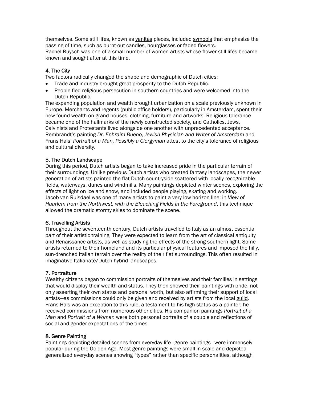themselves. Some still lifes, known as vanitas pieces, included symbols that emphasize the passing of time, such as burnt-out candles, hourglasses or faded flowers. Rachel Ruysch was one of a small number of women artists whose flower still lifes became known and sought after at this time.

#### 4. The City

Two factors radically changed the shape and demographic of Dutch cities:

- Trade and industry brought great prosperity to the Dutch Republic.
- People fled religious persecution in southern countries and were welcomed into the Dutch Republic.

The expanding population and wealth brought urbanization on a scale previously unknown in Europe. Merchants and regents (public office holders), particularly in Amsterdam, spent their new-found wealth on grand houses, clothing, furniture and artworks. Religious tolerance became one of the hallmarks of the newly constructed society, and Catholics, Jews, Calvinists and Protestants lived alongside one another with unprecedented acceptance. Rembrandt's painting *Dr. Ephraim Bueno, Jewish Physician and Writer of Amsterdam* and Frans Hals' *Portrait of a Man, Possibly a Clergyman* attest to the city's tolerance of religious and cultural diversity.

#### 5. The Dutch Landscape

During this period, Dutch artists began to take increased pride in the particular terrain of their surroundings. Unlike previous Dutch artists who created fantasy landscapes, the newer generation of artists painted the flat Dutch countryside scattered with locally recognizable fields, waterways, dunes and windmills. Many paintings depicted winter scenes, exploring the effects of light on ice and snow, and included people playing, skating and working. Jacob van Ruisdael was one of many artists to paint a very low horizon line; in *View of Haarlem from the Northwest, with the Bleaching Fields in the Foreground*, this technique allowed the dramatic stormy skies to dominate the scene.

#### 6. Travelling Artists

Throughout the seventeenth century, Dutch artists travelled to Italy as an almost essential part of their artistic training. They were expected to learn from the art of classical antiquity and Renaissance artists, as well as studying the effects of the strong southern light. Some artists returned to their homeland and its particular physical features and imposed the hilly, sun-drenched Italian terrain over the reality of their flat surroundings. This often resulted in imaginative Italianate/Dutch hybrid landscapes.

#### 7. Portraiture

Wealthy citizens began to commission portraits of themselves and their families in settings that would display their wealth and status. They then showed their paintings with pride, not only asserting their own status and personal worth, but also affirming their support of local artists—as commissions could only be given and received by artists from the local guild. Frans Hals was an exception to this rule, a testament to his high status as a painter; he received commissions from numerous other cities. His companion paintings *Portrait of a Man* and *Portrait of a Woman* were both personal portraits of a couple and reflections of social and gender expectations of the times.

#### 8. Genre Painting

Paintings depicting detailed scenes from everyday life—genre paintings—were immensely popular during the Golden Age. Most genre paintings were small in scale and depicted generalized everyday scenes showing "types" rather than specific personalities, although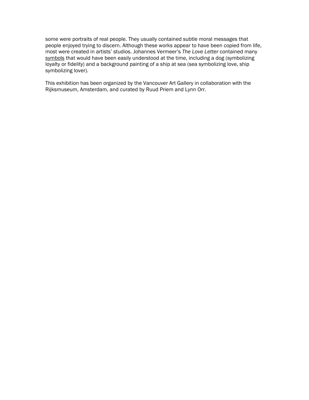some were portraits of real people. They usually contained subtle moral messages that people enjoyed trying to discern. Although these works appear to have been copied from life, most were created in artists' studios. Johannes Vermeer's *The Love Letter* contained many symbols that would have been easily understood at the time, including a dog (symbolizing loyalty or fidelity) and a background painting of a ship at sea (sea symbolizing love, ship symbolizing lover).

This exhibition has been organized by the Vancouver Art Gallery in collaboration with the Rijksmuseum, Amsterdam, and curated by Ruud Priem and Lynn Orr.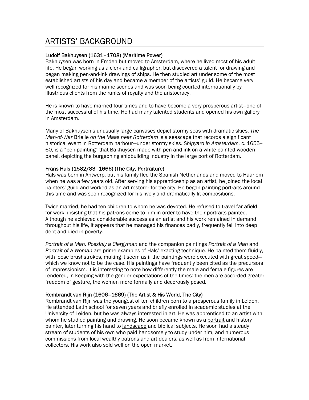## ARTISTS' BACKGROUND

#### Ludolf Bakhuysen (1631–1708) (Maritime Power)

Bakhuysen was born in Emden but moved to Amsterdam, where he lived most of his adult life. He began working as a clerk and calligrapher, but discovered a talent for drawing and began making pen-and-ink drawings of ships. He then studied art under some of the most established artists of his day and became a member of the artists' guild. He became very well recognized for his marine scenes and was soon being courted internationally by illustrious clients from the ranks of royalty and the aristocracy.

He is known to have married four times and to have become a very prosperous artist—one of the most successful of his time. He had many talented students and opened his own gallery in Amsterdam.

Many of Bakhuysen's unusually large canvases depict stormy seas with dramatic skies. *The Man-of-War* Brielle *on the Maas near Rotterdam* is a seascape that records a significant historical event in Rotterdam harbour—under stormy skies. *Shipyard in Amsterdam,* c. 1655– 60, is a "pen-painting" that Bakhuysen made with pen and ink on a white painted wooden panel, depicting the burgeoning shipbuilding industry in the large port of Rotterdam.

#### Frans Hals (1582/83–1666) (The City, Portraiture)

Hals was born in Antwerp, but his family fled the Spanish Netherlands and moved to Haarlem when he was a few years old. After serving his apprenticeship as an artist, he joined the local painters' guild and worked as an art restorer for the city. He began painting portraits around this time and was soon recognized for his lively and dramatically lit compositions.

Twice married, he had ten children to whom he was devoted. He refused to travel far afield for work, insisting that his patrons come to him in order to have their portraits painted. Although he achieved considerable success as an artist and his work remained in demand throughout his life, it appears that he managed his finances badly, frequently fell into deep debt and died in poverty.

*Portrait of a Man, Possibly a Clergyman* and the companion paintings *Portrait of a Man* and *Portrait of a Woman* are prime examples of Hals' exacting technique. He painted them fluidly, with loose brushstrokes, making it seem as if the paintings were executed with great speed which we know not to be the case. His paintings have frequently been cited as the precursors of Impressionism. It is interesting to note how differently the male and female figures are rendered, in keeping with the gender expectations of the times: the men are accorded greater freedom of gesture, the women more formally and decorously posed.

#### Rembrandt van Rijn (1606–1669) (The Artist & His World, The City)

Rembrandt van Rijn was the youngest of ten children born to a prosperous family in Leiden. He attended Latin school for seven years and briefly enrolled in academic studies at the University of Leiden, but he was always interested in art. He was apprenticed to an artist with whom he studied painting and drawing. He soon became known as a portrait and history painter, later turning his hand to landscape and biblical subjects. He soon had a steady stream of students of his own who paid handsomely to study under him, and numerous commissions from local wealthy patrons and art dealers, as well as from international collectors. His work also sold well on the open market.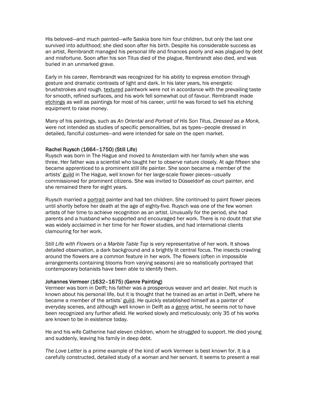His beloved—and much painted—wife Saskia bore him four children, but only the last one survived into adulthood; she died soon after his birth. Despite his considerable success as an artist, Rembrandt managed his personal life and finances poorly and was plagued by debt and misfortune. Soon after his son Titus died of the plague, Rembrandt also died, and was buried in an unmarked grave.

Early in his career, Rembrandt was recognized for his ability to express emotion through gesture and dramatic contrasts of light and dark. In his later years, his energetic brushstrokes and rough, textured paintwork were not in accordance with the prevailing taste for smooth, refined surfaces, and his work fell somewhat out of favour. Rembrandt made etchings as well as paintings for most of his career, until he was forced to sell his etching equipment to raise money.

Many of his paintings, such as *An Oriental* and *Portrait of His Son Titus, Dressed as a Monk,* were not intended as studies of specific personalities, but as types—people dressed in detailed, fanciful costumes—and were intended for sale on the open market.

#### Rachel Ruysch (1664–1750) (Still Life)

Ruysch was born in The Hague and moved to Amsterdam with her family when she was three. Her father was a scientist who taught her to observe nature closely. At age fifteen she became apprenticed to a prominent still life painter. She soon became a member of the artists' guild in The Hague, well known for her large-scale flower pieces—usually commissioned for prominent citizens. She was invited to Düsseldorf as court painter, and she remained there for eight years.

Ruysch married a portrait painter and had ten children. She continued to paint flower pieces until shortly before her death at the age of eighty-five. Ruysch was one of the few women artists of her time to achieve recognition as an artist. Unusually for the period, she had parents and a husband who supported and encouraged her work. There is no doubt that she was widely acclaimed in her time for her flower studies, and had international clients clamouring for her work.

*Still Life with Flowers on a Marble Table Top* is very representative of her work. It shows detailed observation, a dark background and a brightly lit central focus. The insects crawling around the flowers are a common feature in her work. The flowers (often in impossible arrangements containing blooms from varying seasons) are so realistically portrayed that contemporary botanists have been able to identify them.

#### Johannes Vermeer (1632–1675) (Genre Painting)

Vermeer was born in Delft; his father was a prosperous weaver and art dealer. Not much is known about his personal life, but it is thought that he trained as an artist in Delft, where he became a member of the artists' guild. He quickly established himself as a painter of everyday scenes, and although well known in Delft as a genre artist, he seems not to have been recognized any further afield. He worked slowly and meticulously; only 35 of his works are known to be in existence today.

He and his wife Catherine had eleven children, whom he struggled to support. He died young and suddenly, leaving his family in deep debt.

*The Love Letter* is a prime example of the kind of work Vermeer is best known for. It is a carefully constructed, detailed study of a woman and her servant. It seems to present a real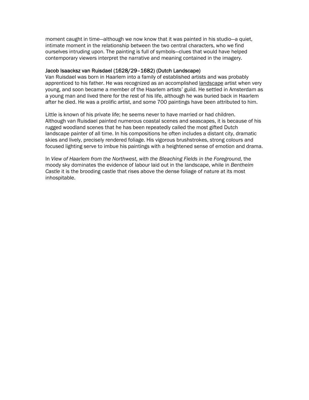moment caught in time—although we now know that it was painted in his studio—a quiet, intimate moment in the relationship between the two central characters, who we find ourselves intruding upon. The painting is full of symbols—clues that would have helped contemporary viewers interpret the narrative and meaning contained in the imagery.

#### Jacob Isaacksz van Ruisdael (1628/29–1682) (Dutch Landscape)

Van Ruisdael was born in Haarlem into a family of established artists and was probably apprenticed to his father. He was recognized as an accomplished landscape artist when very young, and soon became a member of the Haarlem artists' guild. He settled in Amsterdam as a young man and lived there for the rest of his life, although he was buried back in Haarlem after he died. He was a prolific artist, and some 700 paintings have been attributed to him.

Little is known of his private life; he seems never to have married or had children. Although van Ruisdael painted numerous coastal scenes and seascapes, it is because of his rugged woodland scenes that he has been repeatedly called the most gifted Dutch landscape painter of all time. In his compositions he often includes a distant city, dramatic skies and lively, precisely rendered foliage. His vigorous brushstrokes, strong colours and focused lighting serve to imbue his paintings with a heightened sense of emotion and drama.

In View of Haarlem from the Northwest, with the Bleaching Fields in the Foreground, the moody sky dominates the evidence of labour laid out in the landscape, while in *Bentheim Castle* it is the brooding castle that rises above the dense foliage of nature at its most inhospitable.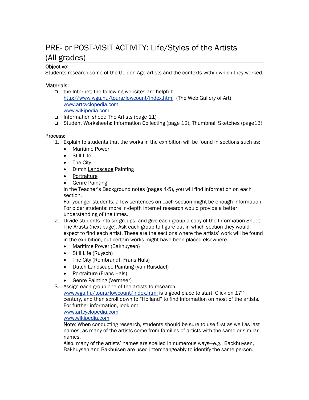## PRE- or POST-VISIT ACTIVITY: Life/Styles of the Artists (All grades)

#### Objective:

Students research some of the Golden Age artists and the contexts within which they worked.

#### Materials:

- $\Box$  the Internet; the following websites are helpful: <http://www.wga.hu/tours/lowcount/index.html>(The Web Gallery of Art) [www.artcyclopedia.com](http://www.artcyclopedia.com/) [www.wikipedia.com](http://www.wikipedia.com/)
- Information sheet: The Artists (page 11)
- Student Worksheets: Information Collecting (page 12), Thumbnail Sketches (page13)

#### Process:

- 1. Explain to students that the works in the exhibition will be found in sections such as:
	- Maritime Power
	- Still Life
	- The City
	- Dutch Landscape Painting
	- Portraiture
	- **Genre Painting**

In the Teacher's Background notes (pages 4-5), you will find information on each section.

For younger students: a few sentences on each section might be enough information. For older students: more in-depth Internet research would provide a better understanding of the times.

- 2. Divide students into six groups, and give each group a copy of the Information Sheet: The Artists (next page). Ask each group to figure out in which section they would expect to find each artist. These are the sections where the artists' work will be found in the exhibition, but certain works might have been placed elsewhere.
	- Maritime Power (Bakhuysen)
	- Still Life (Ruysch)
	- The City (Rembrandt, Frans Hals)
	- Dutch Landscape Painting (van Ruisdael)
	- Portraiture (Frans Hals)
	- Genre Painting (Vermeer)
- 3. Assign each group one of the artists to research.

[www.wga.hu/tours/lowcount/index.html](http://www.wga.hu/tours/lowcount/index.html) is a good place to start. Click on 17th century, and then scroll down to "Holland" to find information on most of the artists. For further information, look on:

[www.artcyclopedia.com](http://www.artcyclopedia.com/)

[www.wikipedia.com](http://www.wikipedia.com/)

Note: When conducting research, students should be sure to use first as well as last names, as many of the artists come from families of artists with the same or similar names.

Also, many of the artists' names are spelled in numerous ways—e.g., Backhuysen, Bakhuysen and Bakhuisen are used interchangeably to identify the same person.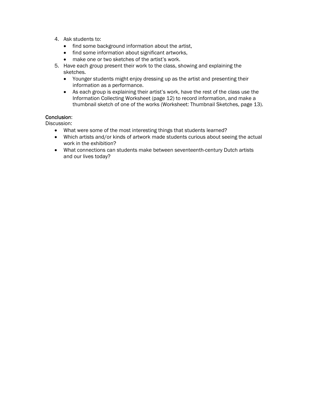- 4. Ask students to:
	- find some background information about the artist,
	- find some information about significant artworks,
	- make one or two sketches of the artist's work.
- 5. Have each group present their work to the class, showing and explaining the sketches.
	- Younger students might enjoy dressing up as the artist and presenting their information as a performance.
	- As each group is explaining their artist's work, have the rest of the class use the Information Collecting Worksheet (page 12) to record information, and make a thumbnail sketch of one of the works (Worksheet: Thumbnail Sketches, page 13).

#### Conclusion:

Discussion:

- What were some of the most interesting things that students learned?
- Which artists and/or kinds of artwork made students curious about seeing the actual work in the exhibition?
- What connections can students make between seventeenth-century Dutch artists and our lives today?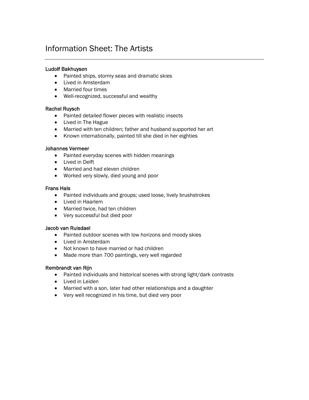# Information Sheet: The Artists

#### Ludolf Bakhuysen

- Painted ships, stormy seas and dramatic skies
- Lived in Amsterdam
- Married four times
- Well-recognized, successful and wealthy

#### Rachel Ruysch

- Painted detailed flower pieces with realistic insects
- Lived in The Hague
- Married with ten children; father and husband supported her art
- Known internationally, painted till she died in her eighties

#### Johannes Vermeer

- Painted everyday scenes with hidden meanings
- Lived in Delft
- Married and had eleven children
- Worked very slowly, died young and poor

#### Frans Hals

- Painted individuals and groups; used loose, lively brushstrokes
- Lived in Haarlem
- Married twice, had ten children
- Very successful but died poor

#### Jacob van Ruisdael

- Painted outdoor scenes with low horizons and moody skies
- Lived in Amsterdam
- Not known to have married or had children
- Made more than 700 paintings, very well regarded

#### Rembrandt van Rijn

- Painted individuals and historical scenes with strong light/dark contrasts
- Lived in Leiden
- Married with a son, later had other relationships and a daughter
- Very well recognized in his time, but died very poor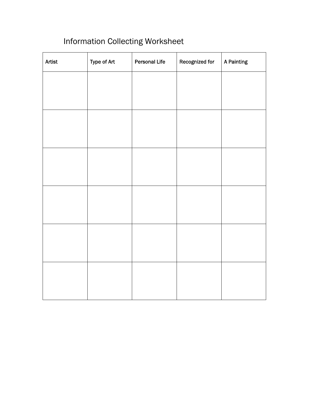# Information Collecting Worksheet

| Artist | Type of Art | <b>Personal Life</b> | Recognized for | A Painting |
|--------|-------------|----------------------|----------------|------------|
|        |             |                      |                |            |
|        |             |                      |                |            |
|        |             |                      |                |            |
|        |             |                      |                |            |
|        |             |                      |                |            |
|        |             |                      |                |            |
|        |             |                      |                |            |
|        |             |                      |                |            |
|        |             |                      |                |            |
|        |             |                      |                |            |
|        |             |                      |                |            |
|        |             |                      |                |            |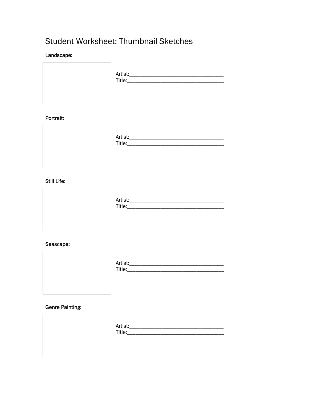# Student Worksheet: Thumbnail Sketches

#### Landscape:



#### Portrait:



#### **Still Life:**



#### Seascape:



#### **Genre Painting:**

| Artist:_<br>Title:__ |
|----------------------|
|                      |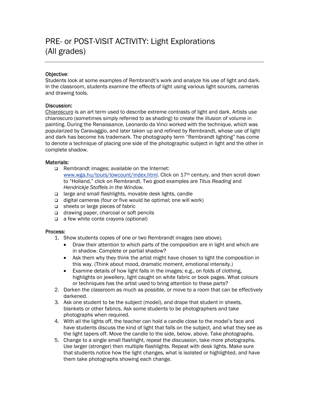#### Objective:

Students look at some examples of Rembrandt's work and analyze his use of light and dark. In the classroom, students examine the effects of light using various light sources, cameras and drawing tools.

#### Discussion:

Chiaroscuro is an art term used to describe extreme contrasts of light and dark. Artists use chiaroscuro (sometimes simply referred to as shading) to create the illusion of volume in painting. During the Renaissance, Leonardo da Vinci worked with the technique, which was popularized by Caravaggio, and later taken up and refined by Rembrandt, whose use of light and dark has become his trademark. The photography term "Rembrandt lighting" has come to denote a technique of placing one side of the photographic subject in light and the other in complete shadow.

#### Materials:

- □ Rembrandt images; available on the Internet: [www.wga.hu/tours/lowcount/index.html.](http://www.wga.hu/tours/lowcount/index.html) Click on 17th century, and then scroll down to "Holland," click on Rembrandt. Two good examples are *Titus Reading* and *Hendrickje Stoffels in the Window.*
- large and small flashlights, movable desk lights, candle
- $\Box$  digital cameras (four or five would be optimal; one will work)
- sheets or large pieces of fabric
- □ drawing paper, charcoal or soft pencils
- $\Box$  a few white conte crayons (optional)

#### Process:

- 1. Show students copies of one or two Rembrandt images (see above).
	- Draw their attention to which parts of the composition are in light and which are in shadow. Complete or partial shadow?
	- Ask them why they think the artist might have chosen to light the composition in this way. (Think about mood, dramatic moment, emotional intensity.)
	- Examine details of how light falls in the images: e.g., on folds of clothing, highlights on jewellery, light caught on white fabric or book pages. What colours or techniques has the artist used to bring attention to these parts?
- 2. Darken the classroom as much as possible, or move to a room that can be effectively darkened.
- 3. Ask one student to be the subject (model), and drape that student in sheets, blankets or other fabrics. Ask some students to be photographers and take photographs when required.
- 4. With all the lights off, the teacher can hold a candle close to the model's face and have students discuss the kind of light that falls on the subject, and what they see as the light tapers off. Move the candle to the side, below, above. Take photographs.
- 5. Change to a single small flashlight, repeat the discussion, take more photographs. Use larger (stronger) then multiple flashlights. Repeat with desk lights. Make sure that students notice how the light changes, what is isolated or highlighted, and have them take photographs showing each change.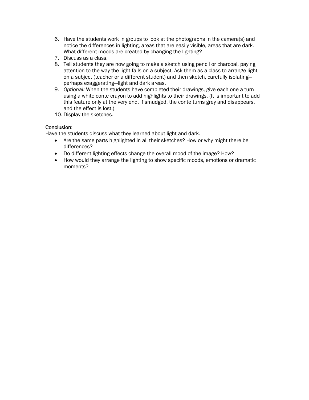- 6. Have the students work in groups to look at the photographs in the camera(s) and notice the differences in lighting, areas that are easily visible, areas that are dark. What different moods are created by changing the lighting?
- 7. Discuss as a class.
- 8. Tell students they are now going to make a sketch using pencil or charcoal, paying attention to the way the light falls on a subject. Ask them as a class to arrange light on a subject (teacher or a different student) and then sketch, carefully isolating perhaps exaggerating—light and dark areas.
- 9. *Optional:* When the students have completed their drawings, give each one a turn using a white conte crayon to add highlights to their drawings. (It is important to add this feature only at the very end. If smudged, the conte turns grey and disappears, and the effect is lost.)
- 10. Display the sketches.

#### Conclusion:

Have the students discuss what they learned about light and dark.

- Are the same parts highlighted in all their sketches? How or why might there be differences?
- Do different lighting effects change the overall mood of the image? How?
- How would they arrange the lighting to show specific moods, emotions or dramatic moments?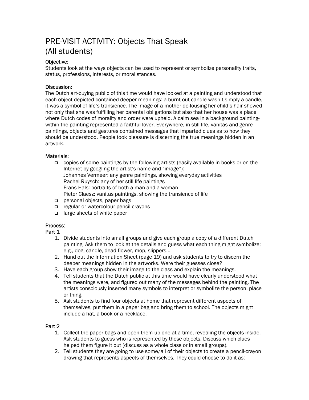# PRE-VISIT ACTIVITY: Objects That Speak (All students)

#### Objective:

Students look at the ways objects can be used to represent or symbolize personality traits, status, professions, interests, or moral stances.

#### Discussion:

The Dutch art-buying public of this time would have looked at a painting and understood that each object depicted contained deeper meanings: a burnt-out candle wasn't simply a candle, it was a symbol of life's transience. The image of a mother de-lousing her child's hair showed not only that she was fulfilling her parental obligations but also that her house was a place where Dutch codes of morality and order were upheld. A calm sea in a background paintingwithin-the-painting represented a faithful lover. Everywhere, in still life, vanitas and genre paintings, objects and gestures contained messages that imparted clues as to how they should be understood. People took pleasure is discerning the true meanings hidden in an artwork.

#### Materials:

- copies of some paintings by the following artists (easily available in books or on the Internet by googling the artist's name and "image"): Johannes Vermeer: any genre paintings, showing everyday activities Rachel Ruysch: any of her still life paintings Frans Hals: portraits of both a man and a woman Pieter Claesz: vanitas paintings, showing the transience of life
- personal objects, paper bags
- regular or watercolour pencil crayons
- $\Box$  large sheets of white paper

#### Process:

Part 1

- 1. Divide students into small groups and give each group a copy of a different Dutch painting. Ask them to look at the details and guess what each thing might symbolize; e.g., dog, candle, dead flower, mop, slippers...
- 2. Hand out the Information Sheet (page 19) and ask students to try to discern the deeper meanings hidden in the artworks. Were their guesses close?
- 3. Have each group show their image to the class and explain the meanings.
- 4. Tell students that the Dutch public at this time would have clearly understood what the meanings were, and figured out many of the messages behind the painting. The artists consciously inserted many symbols to interpret or symbolize the person, place or thing.
- 5. Ask students to find four objects at home that represent different aspects of themselves, put them in a paper bag and bring them to school. The objects might include a hat, a book or a necklace.

#### Part 2

- 1. Collect the paper bags and open them up one at a time, revealing the objects inside. Ask students to guess who is represented by these objects. Discuss which clues helped them figure it out (discuss as a whole class or in small groups).
- 2. Tell students they are going to use some/all of their objects to create a pencil-crayon drawing that represents aspects of themselves. They could choose to do it as: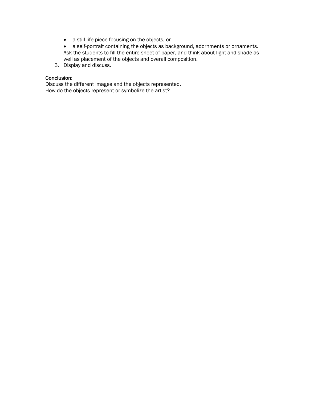- a still life piece focusing on the objects, or
- a self-portrait containing the objects as background, adornments or ornaments. Ask the students to fill the entire sheet of paper, and think about light and shade as well as placement of the objects and overall composition.
- 3. Display and discuss.

#### Conclusion:

Discuss the different images and the objects represented. How do the objects represent or symbolize the artist?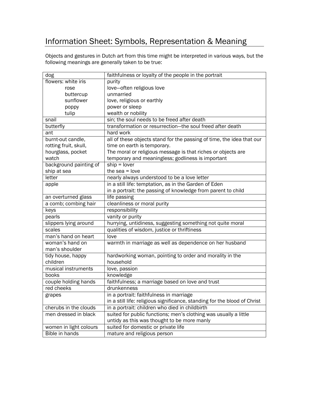# Information Sheet: Symbols, Representation & Meaning

Objects and gestures in Dutch art from this time might be interpreted in various ways, but the following meanings are generally taken to be true:

| dog                    | faithfulness or loyalty of the people in the portrait                     |
|------------------------|---------------------------------------------------------------------------|
| flowers: white iris    | purity                                                                    |
| rose                   | love-often religious love                                                 |
| buttercup              | unmarried                                                                 |
| sunflower              | love, religious or earthly                                                |
| poppy                  | power or sleep                                                            |
| tulip                  | wealth or nobility                                                        |
| snail                  | sin; the soul needs to be freed after death                               |
| butterfly              | transformation or resurrection-the soul freed after death                 |
| ant                    | hard work                                                                 |
| burnt-out candle,      | all of these objects stand for the passing of time, the idea that our     |
| rotting fruit, skull,  | time on earth is temporary.                                               |
| hourglass, pocket      | The moral or religious message is that riches or objects are              |
| watch                  | temporary and meaningless; godliness is important                         |
| background painting of | $ship = lower$                                                            |
| ship at sea            | the $sea = love$                                                          |
| letter                 | nearly always understood to be a love letter                              |
| apple                  | in a still life: temptation, as in the Garden of Eden                     |
|                        | in a portrait: the passing of knowledge from parent to child              |
| an overturned glass    | life passing                                                              |
| a comb; combing hair   | cleanliness or moral purity                                               |
| keys                   | responsibility                                                            |
| pearls                 | vanity or purity                                                          |
| slippers lying around  | hurrying, untidiness, suggesting something not quite moral                |
| scales                 | qualities of wisdom, justice or thriftiness                               |
| man's hand on heart    | love                                                                      |
| woman's hand on        | warmth in marriage as well as dependence on her husband                   |
| man's shoulder         |                                                                           |
| tidy house, happy      | hardworking woman, pointing to order and morality in the                  |
| children               | household                                                                 |
| musical instruments    | love, passion                                                             |
| books                  | knowledge                                                                 |
| couple holding hands   | faithfulness; a marriage based on love and trust                          |
| red cheeks             | drunkenness                                                               |
| grapes                 | in a portrait: faithfulness in marriage                                   |
|                        | in a still life: religious significance, standing for the blood of Christ |
| cherubs in the clouds  | in a portrait: children who died in childbirth                            |
| men dressed in black   | suited for public functions; men's clothing was usually a little          |
|                        | untidy as this was thought to be more manly                               |
| women in light colours | suited for domestic or private life                                       |
| <b>Bible in hands</b>  | mature and religious person                                               |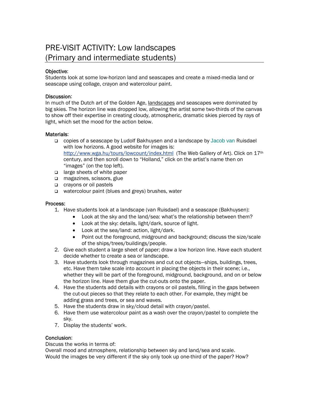# PRE-VISIT ACTIVITY: Low landscapes (Primary and intermediate students)

#### Objective:

Students look at some low-horizon land and seascapes and create a mixed-media land or seascape using collage, crayon and watercolour paint.

#### Discussion:

In much of the Dutch art of the Golden Age, landscapes and seascapes were dominated by big skies. The horizon line was dropped low, allowing the artist some two-thirds of the canvas to show off their expertise in creating cloudy, atmospheric, dramatic skies pierced by rays of light, which set the mood for the action below.

#### Materials:

- copies of a seascape by Ludolf Bakhuysen and a landscape by Jacob van Ruisdael with low horizons. A good website for images is: <http://www.wga.hu/tours/lowcount/index.html>(The Web Gallery of Art). Click on 17th century, and then scroll down to "Holland," click on the artist's name then on "images" (on the top left).
- □ large sheets of white paper
- magazines, scissors, glue
- crayons or oil pastels
- watercolour paint (blues and greys) brushes, water

#### Process:

- 1. Have students look at a landscape (van Ruisdael) and a seascape (Bakhuysen):
	- Look at the sky and the land/sea: what's the relationship between them?
	- Look at the sky: details, light/dark, source of light.
	- Look at the sea/land: action, light/dark.
	- Point out the foreground, midground and background; discuss the size/scale of the ships/trees/buildings/people.
- 2. Give each student a large sheet of paper; draw a low horizon line. Have each student decide whether to create a sea or landscape.
- 3. Have students look through magazines and cut out objects—ships, buildings, trees, etc. Have them take scale into account in placing the objects in their scene; i.e., whether they will be part of the foreground, midground, background, and on or below the horizon line. Have them glue the cut-outs onto the paper.
- 4. Have the students add details with crayons or oil pastels, filling in the gaps between the cut-out pieces so that they relate to each other. For example, they might be adding grass and trees, or sea and waves.
- 5. Have the students draw in sky/cloud detail with crayon/pastel.
- 6. Have them use watercolour paint as a wash over the crayon/pastel to complete the sky.
- 7. Display the students' work.

#### Conclusion:

Discuss the works in terms of:

Overall mood and atmosphere, relationship between sky and land/sea and scale. Would the images be very different if the sky only took up one-third of the paper? How?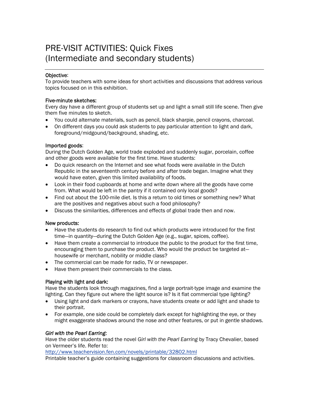# PRE-VISIT ACTIVITIES: Quick Fixes (Intermediate and secondary students)

#### Objective:

To provide teachers with some ideas for short activities and discussions that address various topics focused on in this exhibition.

#### Five-minute sketches:

Every day have a different group of students set up and light a small still life scene. Then give them five minutes to sketch.

- You could alternate materials, such as pencil, black sharpie, pencil crayons, charcoal.
- On different days you could ask students to pay particular attention to light and dark, foreground/midgound/background, shading, etc.

#### Imported goods:

During the Dutch Golden Age, world trade exploded and suddenly sugar, porcelain, coffee and other goods were available for the first time. Have students:

- Do quick research on the Internet and see what foods were available in the Dutch Republic in the seventeenth century before and after trade began. Imagine what they would have eaten, given this limited availability of foods.
- Look in their food cupboards at home and write down where all the goods have come from. What would be left in the pantry if it contained only local goods?
- Find out about the 100-mile diet. Is this a return to old times or something new? What are the positives and negatives about such a food philosophy?
- Discuss the similarities, differences and effects of global trade then and now.

#### New products:

- Have the students do research to find out which products were introduced for the first time—in quantity—during the Dutch Golden Age (e.g., sugar, spices, coffee).
- Have them create a commercial to introduce the public to the product for the first time, encouraging them to purchase the product. Who would the product be targeted at housewife or merchant, nobility or middle class?
- The commercial can be made for radio. TV or newspaper.
- Have them present their commercials to the class.

#### Playing with light and dark:

Have the students look through magazines, find a large portrait-type image and examine the lighting. Can they figure out where the light source is? Is it flat commercial type lighting?

- Using light and dark markers or crayons, have students create or add light and shade to their portrait.
- For example, one side could be completely dark except for highlighting the eye, or they might exaggerate shadows around the nose and other features, or put in gentle shadows.

#### *Girl with the Pearl Earring*:

Have the older students read the novel *Girl with the Pearl Earring* by Tracy Chevalier, based on Vermeer's life. Refer to:

<http://www.teachervision.fen.com/novels/printable/32802.html>

Printable teacher's guide containing suggestions for classroom discussions and activities.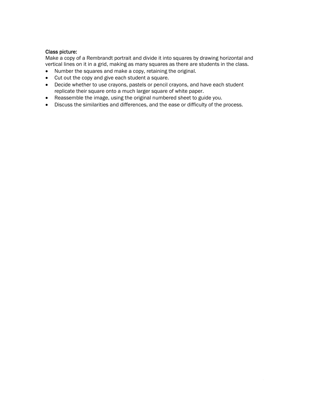#### Class picture:

Make a copy of a Rembrandt portrait and divide it into squares by drawing horizontal and vertical lines on it in a grid, making as many squares as there are students in the class.

- Number the squares and make a copy, retaining the original.
- Cut out the copy and give each student a square.
- Decide whether to use crayons, pastels or pencil crayons, and have each student replicate their square onto a much larger square of white paper.
- Reassemble the image, using the original numbered sheet to guide you.
- Discuss the similarities and differences, and the ease or difficulty of the process.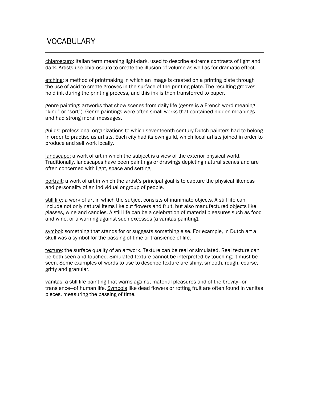### VOCABULARY

chiaroscuro: Italian term meaning light-dark, used to describe extreme contrasts of light and dark. Artists use chiaroscuro to create the illusion of volume as well as for dramatic effect.

etching: a method of printmaking in which an image is created on a printing plate through the use of acid to create grooves in the surface of the printing plate. The resulting grooves hold ink during the printing process, and this ink is then transferred to paper.

genre painting: artworks that show scenes from daily life (*genre* is a French word meaning "kind" or "sort"). Genre paintings were often small works that contained hidden meanings and had strong moral messages.

guilds: professional organizations to which seventeenth-century Dutch painters had to belong in order to practise as artists. Each city had its own guild, which local artists joined in order to produce and sell work locally.

landscape: a work of art in which the subject is a view of the exterior physical world. Traditionally, landscapes have been paintings or drawings depicting natural scenes and are often concerned with light, space and setting.

portrait: a work of art in which the artist's principal goal is to capture the physical likeness and personality of an individual or group of people.

still life: a work of art in which the subject consists of inanimate objects. A still life can include not only natural items like cut flowers and fruit, but also manufactured objects like glasses, wine and candles. A still life can be a celebration of material pleasures such as food and wine, or a warning against such excesses (a vanitas painting).

symbol: something that stands for or suggests something else. For example, in Dutch art a skull was a symbol for the passing of time or transience of life.

texture: the surface quality of an artwork. Texture can be real or simulated. Real texture can be both seen and touched. Simulated texture cannot be interpreted by touching; it must be seen. Some examples of words to use to describe texture are shiny, smooth, rough, coarse, gritty and granular.

vanitas: a still life painting that warns against material pleasures and of the brevity—or transience—of human life. Symbols like dead flowers or rotting fruit are often found in vanitas pieces, measuring the passing of time.